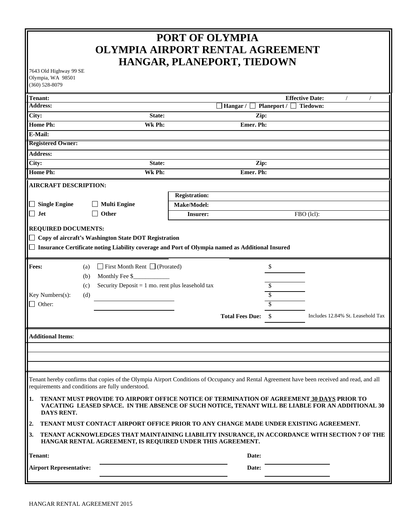# **PORT OF OLYMPIA OLYMPIA AIRPORT RENTAL AGREEMENT HANGAR, PLANEPORT, TIEDOWN**

7643 Old Highway 99 SE Olympia, WA 98501 (360) 528-8079

| лушрк, 1171 20201<br>$(360) 528 - 8079$                                                                                                                                                                           |                                                             |                      |                        |                    |                                   |  |  |  |  |
|-------------------------------------------------------------------------------------------------------------------------------------------------------------------------------------------------------------------|-------------------------------------------------------------|----------------------|------------------------|--------------------|-----------------------------------|--|--|--|--|
| <b>Tenant:</b>                                                                                                                                                                                                    |                                                             |                      |                        |                    | <b>Effective Date:</b>            |  |  |  |  |
| <b>Address:</b>                                                                                                                                                                                                   |                                                             |                      | Hangar / $\Box$        | Planeport / $\Box$ | Tiedown:                          |  |  |  |  |
| City:                                                                                                                                                                                                             | State:                                                      | Zip:                 |                        |                    |                                   |  |  |  |  |
| <b>Home Ph:</b>                                                                                                                                                                                                   | Wk Ph:                                                      | Emer. Ph:            |                        |                    |                                   |  |  |  |  |
| E-Mail:                                                                                                                                                                                                           |                                                             |                      |                        |                    |                                   |  |  |  |  |
| <b>Registered Owner:</b>                                                                                                                                                                                          |                                                             |                      |                        |                    |                                   |  |  |  |  |
| <b>Address:</b>                                                                                                                                                                                                   |                                                             |                      |                        |                    |                                   |  |  |  |  |
| City:                                                                                                                                                                                                             | State:                                                      |                      | Zip:                   |                    |                                   |  |  |  |  |
| <b>Home Ph:</b>                                                                                                                                                                                                   | Wk Ph:                                                      |                      | Emer. Ph:              |                    |                                   |  |  |  |  |
| <b>AIRCRAFT DESCRIPTION:</b>                                                                                                                                                                                      |                                                             |                      |                        |                    |                                   |  |  |  |  |
|                                                                                                                                                                                                                   |                                                             | <b>Registration:</b> |                        |                    |                                   |  |  |  |  |
| $\Box$ Single Engine                                                                                                                                                                                              | <b>Multi Engine</b>                                         | Make/Model:          |                        |                    |                                   |  |  |  |  |
| $\Box$ Jet                                                                                                                                                                                                        | Other                                                       | <b>Insurer:</b>      |                        |                    | FBO (lcl):                        |  |  |  |  |
| <b>REQUIRED DOCUMENTS:</b>                                                                                                                                                                                        |                                                             |                      |                        |                    |                                   |  |  |  |  |
|                                                                                                                                                                                                                   | $\Box$ Copy of aircraft's Washington State DOT Registration |                      |                        |                    |                                   |  |  |  |  |
|                                                                                                                                                                                                                   |                                                             |                      |                        |                    |                                   |  |  |  |  |
| □ Insurance Certificate noting Liability coverage and Port of Olympia named as Additional Insured                                                                                                                 |                                                             |                      |                        |                    |                                   |  |  |  |  |
| <b>Fees:</b>                                                                                                                                                                                                      | $\Box$ First Month Rent $\Box$ (Prorated)<br>(a)            |                      |                        | \$                 |                                   |  |  |  |  |
|                                                                                                                                                                                                                   | Monthly Fee \$<br>(b)                                       |                      |                        |                    |                                   |  |  |  |  |
|                                                                                                                                                                                                                   | Security Deposit = $1$ mo. rent plus leasehold tax<br>(c)   |                      |                        | S                  |                                   |  |  |  |  |
| Key Numbers(s):                                                                                                                                                                                                   | (d)                                                         |                      |                        | \$                 |                                   |  |  |  |  |
| $\Box$ Other:                                                                                                                                                                                                     |                                                             |                      |                        | \$                 |                                   |  |  |  |  |
|                                                                                                                                                                                                                   |                                                             |                      | <b>Total Fees Due:</b> | \$                 | Includes 12.84% St. Leasehold Tax |  |  |  |  |
|                                                                                                                                                                                                                   |                                                             |                      |                        |                    |                                   |  |  |  |  |
| <b>Additional Items:</b>                                                                                                                                                                                          |                                                             |                      |                        |                    |                                   |  |  |  |  |
|                                                                                                                                                                                                                   |                                                             |                      |                        |                    |                                   |  |  |  |  |
|                                                                                                                                                                                                                   |                                                             |                      |                        |                    |                                   |  |  |  |  |
|                                                                                                                                                                                                                   |                                                             |                      |                        |                    |                                   |  |  |  |  |
| Tenant hereby confirms that copies of the Olympia Airport Conditions of Occupancy and Rental Agreement have been received and read, and all<br>requirements and conditions are fully understood.                  |                                                             |                      |                        |                    |                                   |  |  |  |  |
| 1.<br>TENANT MUST PROVIDE TO AIRPORT OFFICE NOTICE OF TERMINATION OF AGREEMENT 30 DAYS PRIOR TO<br>VACATING LEASED SPACE. IN THE ABSENCE OF SUCH NOTICE, TENANT WILL BE LIABLE FOR AN ADDITIONAL 30<br>DAYS RENT. |                                                             |                      |                        |                    |                                   |  |  |  |  |
| 2.<br>TENANT MUST CONTACT AIRPORT OFFICE PRIOR TO ANY CHANGE MADE UNDER EXISTING AGREEMENT.                                                                                                                       |                                                             |                      |                        |                    |                                   |  |  |  |  |
| 3.<br>TENANT ACKNOWLEDGES THAT MAINTAINING LIABILITY INSURANCE, IN ACCORDANCE WITH SECTION 7 OF THE<br>HANGAR RENTAL AGREEMENT, IS REQUIRED UNDER THIS AGREEMENT.                                                 |                                                             |                      |                        |                    |                                   |  |  |  |  |
| <b>Tenant:</b>                                                                                                                                                                                                    | Date:                                                       |                      |                        |                    |                                   |  |  |  |  |
| <b>Airport Representative:</b>                                                                                                                                                                                    |                                                             | Date:                |                        |                    |                                   |  |  |  |  |
|                                                                                                                                                                                                                   |                                                             |                      |                        |                    |                                   |  |  |  |  |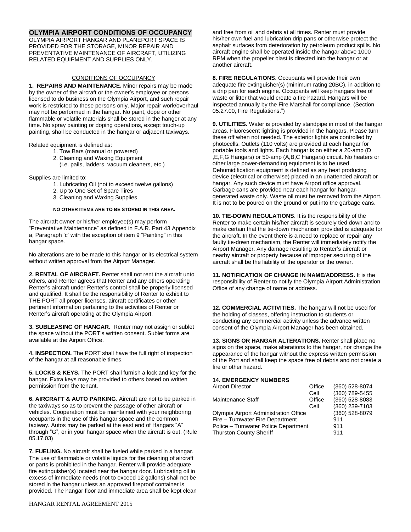## **OLYMPIA AIRPORT CONDITIONS OF OCCUPANCY**

OLYMPIA AIRPORT HANGAR AND PLANEPORT SPACE IS PROVIDED FOR THE STORAGE, MINOR REPAIR AND PREVENTATIVE MAINTENANCE OF AIRCRAFT, UTILIZING RELATED EQUIPMENT AND SUPPLIES ONLY.

## CONDITIONS OF OCCUPANCY

**1. REPAIRS AND MAINTENANCE.** Minor repairs may be made by the owner of the aircraft or the owner's employee or persons licensed to do business on the Olympia Airport, and such repair work is restricted to these persons only. Major repair work/overhaul may not be performed in the hangar. No paint, dope or other flammable or volatile materials shall be stored in the hanger at any time. No spray painting or doping operations, except touch-up painting, shall be conducted in the hangar or adjacent taxiways.

Related equipment is defined as:

- 1. Tow Bars (manual or powered)
- 2. Cleaning and Waxing Equipment

(i.e. pails, ladders, vacuum cleaners, etc.)

Supplies are limited to:

- 1. Lubricating Oil (not to exceed twelve gallons)
- 2. Up to One Set of Spare Tires
- 3. Cleaning and Waxing Supplies

#### **NO OTHER ITEMS ARE TO BE STORED IN THIS AREA.**

The aircraft owner or his/her employee(s) may perform "Preventative Maintenance" as defined in F.A.R. Part 43 Appendix a, Paragraph 'c' with the exception of item 9 "Painting" in this hangar space.

No alterations are to be made to this hangar or its electrical system without written approval from the Airport Manager.

**2. RENTAL OF AIRCRAFT.** Renter shall not rent the aircraft unto others, and Renter agrees that Renter and any others operating Renter's aircraft under Renter's control shall be properly licensed and qualified. It shall be the responsibility of Renter to exhibit to THE PORT all proper licenses, aircraft certificates or other pertinent information pertaining to the activities of Renter or Renter's aircraft operating at the Olympia Airport.

**3. SUBLEASING OF HANGAR**. Renter may not assign or sublet the space without the PORT's written consent. Sublet forms are available at the Airport Office.

**4. INSPECTION.** The PORT shall have the full right of inspection of the hangar at all reasonable times.

**5. LOCKS & KEYS.** The PORT shall furnish a lock and key for the hangar. Extra keys may be provided to others based on written permission from the tenant.

**6. AIRCRAFT & AUTO PARKING**. Aircraft are not to be parked in the taxiways so as to prevent the passage of other aircraft or vehicles. Cooperation must be maintained with your neighboring occupants in the use of this hangar space and the common taxiway. Autos may be parked at the east end of Hangars "A" through "G", or in your hangar space when the aircraft is out. (Rule 05.17.03)

**7. FUELING.** No aircraft shall be fueled while parked in a hangar. The use of flammable or volatile liquids for the cleaning of aircraft or parts is prohibited in the hangar. Renter will provide adequate fire extinguisher(s) located near the hangar door. Lubricating oil in excess of immediate needs (not to exceed 12 gallons) shall not be stored in the hangar unless an approved fireproof container is provided. The hangar floor and immediate area shall be kept clean and free from oil and debris at all times. Renter must provide his/her own fuel and lubrication drip pans or otherwise protect the asphalt surfaces from deterioration by petroleum product spills. No aircraft engine shall be operated inside the hangar above 1000 RPM when the propeller blast is directed into the hangar or at another aircraft.

**8. FIRE REGULATIONS**. Occupants will provide their own adequate fire extinguisher(s) (minimum rating 20BC), in addition to a drip pan for each engine. Occupants will keep hangars free of waste or litter that would create a fire hazard. Hangars will be inspected annually by the Fire Marshall for compliance. (Section 05.27.00, Fire Regulations.")

**9. UTILITIES.** Water is provided by standpipe in most of the hangar areas. Fluorescent lighting is provided in the hangars. Please turn these off when not needed. The exterior lights are controlled by photocells. Outlets (110 volts) are provided at each hangar for portable tools and lights. Each hangar is on either a 20-amp (D ,E,F,G Hangars) or 50-amp (A,B,C Hangars) circuit. No heaters or other large power-demanding equipment is to be used. Dehumidification equipment is defined as any heat producing device (electrical or otherwise) placed in an unattended aircraft or hangar. Any such device must have Airport office approval. Garbage cans are provided near each hangar for hangargenerated waste only. Waste oil must be removed from the Airport. It is not to be poured on the ground or put into the garbage cans.

**10. TIE-DOWN REGULATIONS**. It is the responsibility of the Renter to make certain his/her aircraft is securely tied down and to make certain that the tie-down mechanism provided is adequate for the aircraft. In the event there is a need to replace or repair any faulty tie-down mechanism, the Renter will immediately notify the Airport Manager. Any damage resulting to Renter's aircraft or nearby aircraft or property because of improper securing of the aircraft shall be the liability of the operator or the owner.

**11. NOTIFICATION OF CHANGE IN NAME/ADDRESS.** It is the responsibility of Renter to notify the Olympia Airport Administration Office of any change of name or address.

**12. COMMERCIAL ACTIVITIES.** The hangar will not be used for the holding of classes, offering instruction to students or conducting any commercial activity unless the advance written consent of the Olympia Airport Manager has been obtained.

**13. SIGNS OR HANGAR ALTERATIONS.** Renter shall place no signs on the space, make alterations to the hangar, nor change the appearance of the hangar without the express written permission of the Port and shall keep the space free of debris and not create a fire or other hazard.

## **14. EMERGENCY NUMBERS**

| <b>Airport Director</b>               | Office         | (360) 528-8074 |
|---------------------------------------|----------------|----------------|
|                                       | Cell           | (360) 789-5455 |
| <b>Maintenance Staff</b>              | Office         | (360) 528-8083 |
|                                       | Cell           | (360) 239-7103 |
| Olympia Airport Administration Office | (360) 528-8079 |                |
| Fire - Tumwater Fire Department       | 911            |                |
| Police - Tumwater Police Department   | 911            |                |
| <b>Thurston County Sheriff</b>        | 911            |                |
|                                       |                |                |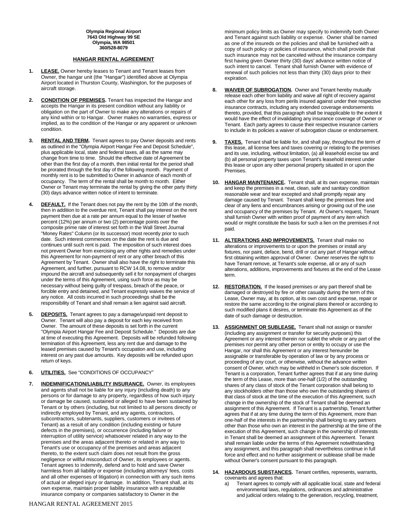**Olympia Regional Airport 7643 Old Highway 99 SE Olympia, WA 98501 360/528-8079**

### **HANGAR RENTAL AGREEMENT**

- **1. LEASE.** Owner hereby leases to Tenant and Tenant leases from Owner, the hangar unit (the "Hangar") identified above at Olympia Airport located in Thurston County, Washington, for the purposes of aircraft storage.
- **2. CONDITION OF PREMISES.** Tenant has inspected the Hangar and accepts the Hangar in its present condition without any liability or obligation on the part of Owner to make any alterations or repairs of any kind within or to Hangar. Owner makes no warranties, express or implied, as to the condition of the Hangar or any apparent or unknown condition.
- **3. RENTAL AND TERM.** Tenant agrees to pay Owner deposits and rents as outlined in the "Olympia Airport Hangar Fee and Deposit Schedule", plus applicable local, state and federal taxes, all as the same may change from time to time. Should the effective date of Agreement be other than the first day of a month, then initial rental for the period shall be prorated through the first day of the following month. Payment of monthly rent is to be submitted to Owner in advance of each month of occupancy. The term of the rental shall be month to month. Either Owner or Tenant may terminate the rental by giving the other party thirty (30) days advance written notice of intent to terminate.
- **4. DEFAULT.** If the Tenant does not pay the rent by the 10th of the month, then in addition to the overdue rent, Tenant shall pay interest on the rent payment then due at a rate per annum equal to the lesser of twelve percent (12%) per annum or two (2) percentage points over the composite prime rate of interest set forth in the Wall Street Journal "Money Rates" Column (or its successor) most recently prior to such date. Such interest commences on the date the rent is due and continues until such rent is paid. The imposition of such interest does not prevent Owner from exercising any other rights and remedies under this Agreement for non-payment of rent or any other breach of this Agreement by Tenant. Owner shall also have the right to terminate this Agreement, and further, pursuant to RCW 14.08, to remove and/or impound the aircraft and subsequently sell it for nonpayment of charges under the terms of this Agreement, using such force as may be necessary without being guilty of trespass, breach of the peace, or forcible entry and detained, and Tenant expressly waives the service of any notice. All costs incurred in such proceedings shall be the responsibility of Tenant and shall remain a lien against said aircraft.
- **5. DEPOSITS.** Tenant agrees to pay a damage/unpaid rent deposit to Owner. Tenant will also pay a deposit for each key received from Owner. The amount of these deposits is set forth in the current "Olympia Airport Hangar Fee and Deposit Schedule." Deposits are due at time of executing this Agreement. Deposits will be refunded following termination of this Agreement, less any rent due and damage to the leased premises caused by Tenant's occupation and use, including interest on any past due amounts. Key deposits will be refunded upon return of keys.
- **6. UTILITIES.** See "CONDITIONS OF OCCUPANCY"
- **7. INDEMNIFICATION/LIABILITY INSURANCE.** Owner, its employees and agents shall not be liable for any injury (including death) to any persons or for damage to any property, regardless of how such injury or damage be caused, sustained or alleged to have been sustained by Tenant or by others (including, but not limited to all persons directly or indirectly employed by Tenant, and any agents, contractors, subcontractors, subtenants, suppliers, customers or invitees of Tenant) as a result of any condition (including existing or future defects in the premises), or occurrence (including failure or interruption of utility service) whatsoever related in any way to the premises and the areas adjacent thereto or related in any way to Tenant's use or occupancy of the premises and areas adjacent thereto, to the extent such claim does not result from the gross negligence or willful misconduct of Owner, its employees or agents. Tenant agrees to indemnify, defend and to hold and save Owner harmless from all liability or expense (including attorneys' fees, costs and all other expenses of litigation) in connection with any such items of actual or alleged injury or damage. In addition, Tenant shall, at its own expense, maintain proper liability insurance with a reputable insurance company or companies satisfactory to Owner in the

minimum policy limits as Owner may specify to indemnify both Owner and Tenant against such liability or expense. Owner shall be named as one of the insureds on the policies and shall be furnished with a copy of such policy or policies of insurance, which shall provide that such insurance may not be canceled without the insurance company first having given Owner thirty (30) days' advance written notice of such intent to cancel. Tenant shall furnish Owner with evidence of renewal of such policies not less than thirty (30) days prior to their expiration.

- **8. WAIVER OF SUBROGATION.** Owner and Tenant hereby mutually release each other from liability and waive all right of recovery against each other for any loss from perils insured against under their respective insurance contracts, including any extended coverage endorsements thereto, provided, that this paragraph shall be inapplicable to the extent it would have the effect of invalidating any insurance coverage of Owner or Tenant. Each party agrees to cause their respective insurance carriers to include in its policies a waiver of subrogation clause or endorsement.
- **TAXES.** Tenant shall be liable for, and shall pay, throughout the term of this lease, all license fees and taxes covering or relating to the premises and its use, including, without limitation, (a) all leasehold excise tax and (b) all personal property taxes upon Tenant's leasehold interest under this lease or upon any other personal property situated in or upon the Premises.
- **10. HANGAR MAINTENANCE.** Tenant shall, at its own expense, maintain and keep the premises in a neat, clean, safe and sanitary condition reasonable wear and tear excepted and shall promptly repair any damage caused by Tenant. Tenant shall keep the premises free and clear of any liens and encumbrances arising or growing out of the use and occupancy of the premises by Tenant. At Owner's request, Tenant shall furnish Owner with written proof of payment of any item which would or might constitute the basis for such a lien on the premises if not paid.
- **11. ALTERATIONS AND IMPROVEMENTS.** Tenant shall make no alterations or improvements to or upon the premises or install any fixtures, nor paint, deface, bend, drill or cut any part of Hangar without first obtaining written approval of Owner. Owner reserves the right to have Tenant remove, at Tenant's sole expense, all or any of such alterations, additions, improvements and fixtures at the end of the Lease term.
- **12. RESTORATION.** If the leased premises or any part thereof shall be damaged or destroyed by fire or other casualty during the term of this Lease, Owner may, at its option, at its own cost and expense, repair or restore the same according to the original plans thereof or according to such modified plans it desires, or terminate this Agreement as of the date of such damage or destruction.
- **13. ASSIGNMENT OR SUBLEASE.** Tenant shall not assign or transfer (including any assignment or transfer for security purposes) this Agreement or any interest therein nor sublet the whole or any part of the premises nor permit any other person or entity to occupy or use the Hangar, nor shall this Agreement or any interest hereunder be assignable or transferable by operation of law or by any process or proceeding of any court, or otherwise, without the advance written consent of Owner, which may be withheld in Owner's sole discretion. If Tenant is a corporation, Tenant further agrees that if at any time during the term of this Lease, more than one-half (1/2) of the outstanding shares of any class of stock of the Tenant corporation shall belong to any stockholders other than those who own the outstanding shares of that class of stock at the time of the execution of this Agreement, such change in the ownership of the stock of Tenant shall be deemed an assignment of this Agreement. If Tenant is a partnership, Tenant further agrees that if at any time during the term of this Agreement, more than one-half of the interests in the partnership shall belong to any partners other than those who own an interest in the partnership at the time of the execution of this Agreement, such change in the ownership of interests in Tenant shall be deemed an assignment of this Agreement. Tenant shall remain liable under the terms of this Agreement notwithstanding any assignment, and this paragraph shall nevertheless continue in full force and effect and no further assignment or sublease shall be made without Owner's consent pursuant to this paragraph.
- **14. HAZARDOUS SUBSTANCES.** Tenant certifies, represents, warrants, covenants and agrees that:
	- a) Tenant agrees to comply with all applicable local, state and federal environmental laws, regulations, ordinances and administrative and judicial orders relating to the generation, recycling, treatment,